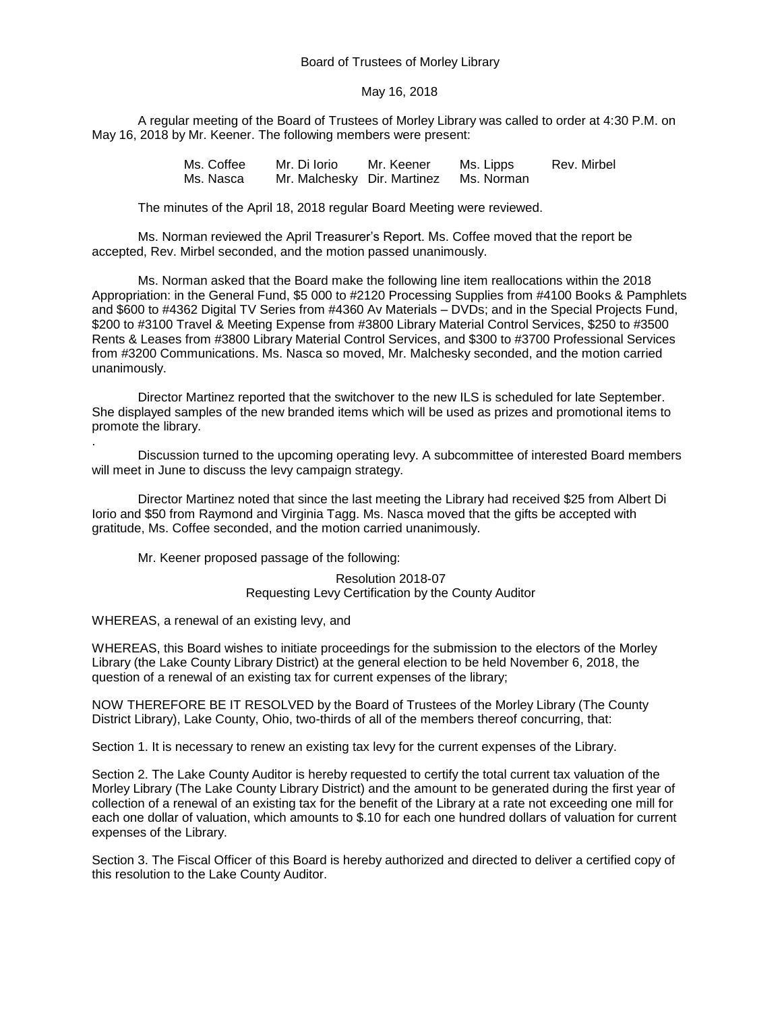## Board of Trustees of Morley Library

## May 16, 2018

A regular meeting of the Board of Trustees of Morley Library was called to order at 4:30 P.M. on May 16, 2018 by Mr. Keener. The following members were present:

> Ms. Coffee Mr. Di Iorio Mr. Keener Ms. Lipps Rev. Mirbel Ms. Nasca Mr. Malchesky Dir. Martinez Ms. Norman

The minutes of the April 18, 2018 regular Board Meeting were reviewed.

Ms. Norman reviewed the April Treasurer's Report. Ms. Coffee moved that the report be accepted, Rev. Mirbel seconded, and the motion passed unanimously.

Ms. Norman asked that the Board make the following line item reallocations within the 2018 Appropriation: in the General Fund, \$5 000 to #2120 Processing Supplies from #4100 Books & Pamphlets and \$600 to #4362 Digital TV Series from #4360 Av Materials – DVDs; and in the Special Projects Fund, \$200 to #3100 Travel & Meeting Expense from #3800 Library Material Control Services, \$250 to #3500 Rents & Leases from #3800 Library Material Control Services, and \$300 to #3700 Professional Services from #3200 Communications. Ms. Nasca so moved, Mr. Malchesky seconded, and the motion carried unanimously.

Director Martinez reported that the switchover to the new ILS is scheduled for late September. She displayed samples of the new branded items which will be used as prizes and promotional items to promote the library.

Discussion turned to the upcoming operating levy. A subcommittee of interested Board members will meet in June to discuss the levy campaign strategy.

Director Martinez noted that since the last meeting the Library had received \$25 from Albert Di Iorio and \$50 from Raymond and Virginia Tagg. Ms. Nasca moved that the gifts be accepted with gratitude, Ms. Coffee seconded, and the motion carried unanimously.

Mr. Keener proposed passage of the following:

Resolution 2018-07 Requesting Levy Certification by the County Auditor

WHEREAS, a renewal of an existing levy, and

.

WHEREAS, this Board wishes to initiate proceedings for the submission to the electors of the Morley Library (the Lake County Library District) at the general election to be held November 6, 2018, the question of a renewal of an existing tax for current expenses of the library;

NOW THEREFORE BE IT RESOLVED by the Board of Trustees of the Morley Library (The County District Library), Lake County, Ohio, two-thirds of all of the members thereof concurring, that:

Section 1. It is necessary to renew an existing tax levy for the current expenses of the Library.

Section 2. The Lake County Auditor is hereby requested to certify the total current tax valuation of the Morley Library (The Lake County Library District) and the amount to be generated during the first year of collection of a renewal of an existing tax for the benefit of the Library at a rate not exceeding one mill for each one dollar of valuation, which amounts to \$.10 for each one hundred dollars of valuation for current expenses of the Library.

Section 3. The Fiscal Officer of this Board is hereby authorized and directed to deliver a certified copy of this resolution to the Lake County Auditor.